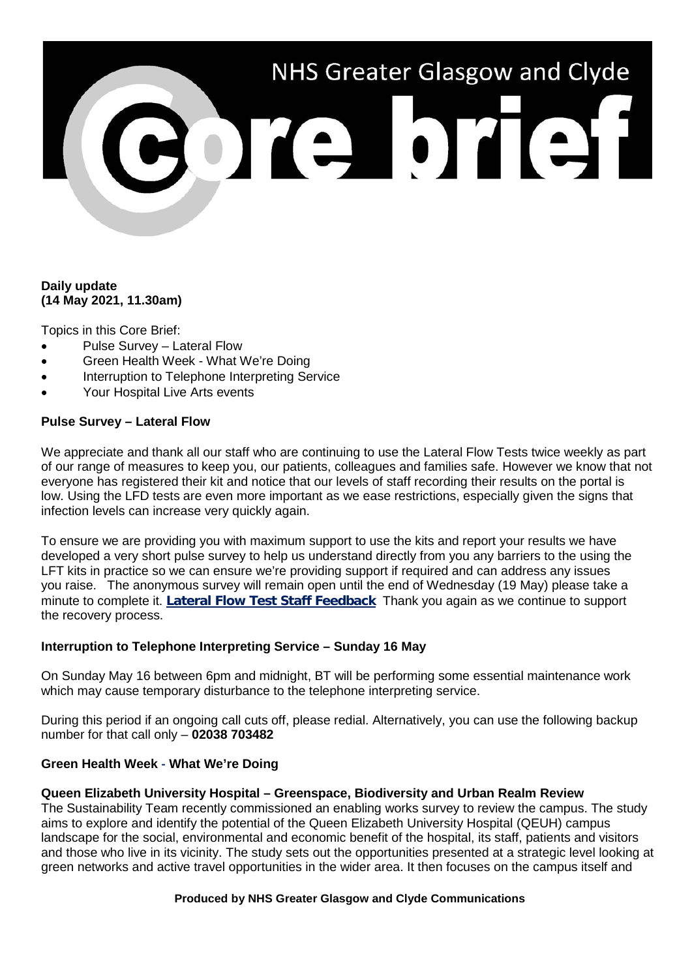# NHS Greater Glasgow and Clyde **BOTE DTETH**

# **Daily update (14 May 2021, 11.30am)**

Topics in this Core Brief:

- Pulse Survey Lateral Flow
- Green Health Week What We're Doing
- Interruption to Telephone Interpreting Service
- Your Hospital Live Arts events

# **Pulse Survey – Lateral Flow**

We appreciate and thank all our staff who are continuing to use the Lateral Flow Tests twice weekly as part of our range of measures to keep you, our patients, colleagues and families safe. However we know that not everyone has registered their kit and notice that our levels of staff recording their results on the portal is low. Using the LFD tests are even more important as we ease restrictions, especially given the signs that infection levels can increase very quickly again.

To ensure we are providing you with maximum support to use the kits and report your results we have developed a very short pulse survey to help us understand directly from you any barriers to the using the LFT kits in practice so we can ensure we're providing support if required and can address any issues you raise. The anonymous survey will remain open until the end of Wednesday (19 May) please take a minute to complete it. **[Lateral Flow Test Staff Feedback](https://link.webropolsurveys.com/Participation/Public/13628189-b044-4bc9-8cce-4418188ee53a?displayId=Uni2283414)** Thank you again as we continue to support the recovery process.

## **Interruption to Telephone Interpreting Service – Sunday 16 May**

On Sunday May 16 between 6pm and midnight, BT will be performing some essential maintenance work which may cause temporary disturbance to the telephone interpreting service.

During this period if an ongoing call cuts off, please redial. Alternatively, you can use the following backup number for that call only – **02038 703482**

# **Green Health Week - What We're Doing**

## **Queen Elizabeth University Hospital – Greenspace, Biodiversity and Urban Realm Review**

The Sustainability Team recently commissioned an enabling works survey to review the campus. The study aims to explore and identify the potential of the Queen Elizabeth University Hospital (QEUH) campus landscape for the social, environmental and economic benefit of the hospital, its staff, patients and visitors and those who live in its vicinity. The study sets out the opportunities presented at a strategic level looking at green networks and active travel opportunities in the wider area. It then focuses on the campus itself and

#### **Produced by NHS Greater Glasgow and Clyde Communications**